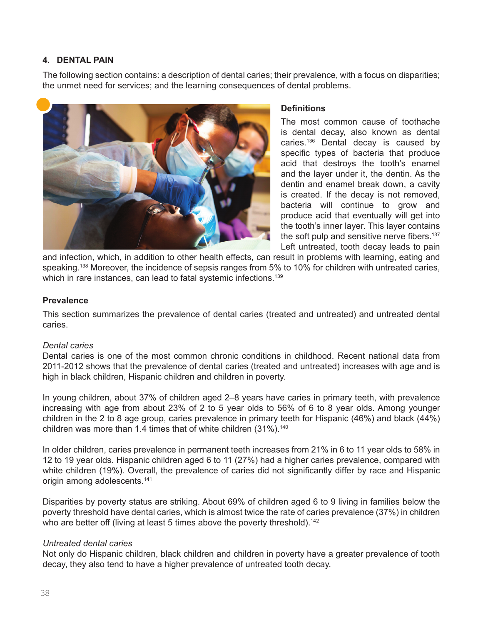## **4. DENTAL PAIN**

The following section contains: a description of dental caries; their prevalence, with a focus on disparities; the unmet need for services; and the learning consequences of dental problems.



#### **Definitions**

The most common cause of toothache is dental decay, also known as dental caries.<sup>136</sup> Dental decay is caused by specific types of bacteria that produce acid that destroys the tooth's enamel and the layer under it, the dentin. As the dentin and enamel break down, a cavity is created. If the decay is not removed, bacteria will continue to grow and produce acid that eventually will get into the tooth's inner layer. This layer contains the soft pulp and sensitive nerve fibers.<sup>137</sup> Left untreated, tooth decay leads to pain

and infection, which, in addition to other health effects, can result in problems with learning, eating and speaking.<sup>138</sup> Moreover, the incidence of sepsis ranges from 5% to 10% for children with untreated caries, which in rare instances, can lead to fatal systemic infections.<sup>139</sup>

#### **Prevalence**

This section summarizes the prevalence of dental caries (treated and untreated) and untreated dental caries.

#### *Dental caries*

Dental caries is one of the most common chronic conditions in childhood. Recent national data from 2011-2012 shows that the prevalence of dental caries (treated and untreated) increases with age and is high in black children, Hispanic children and children in poverty.

In young children, about 37% of children aged 2–8 years have caries in primary teeth, with prevalence increasing with age from about 23% of 2 to 5 year olds to 56% of 6 to 8 year olds. Among younger children in the 2 to 8 age group, caries prevalence in primary teeth for Hispanic (46%) and black (44%) children was more than 1.4 times that of white children (31%).<sup>140</sup>

In older children, caries prevalence in permanent teeth increases from 21% in 6 to 11 year olds to 58% in 12 to 19 year olds. Hispanic children aged 6 to 11 (27%) had a higher caries prevalence, compared with white children (19%). Overall, the prevalence of caries did not significantly differ by race and Hispanic origin among adolescents.<sup>141</sup>

Disparities by poverty status are striking. About 69% of children aged 6 to 9 living in families below the poverty threshold have dental caries, which is almost twice the rate of caries prevalence (37%) in children who are better off (living at least 5 times above the poverty threshold).<sup>142</sup>

#### *Untreated dental caries*

Not only do Hispanic children, black children and children in poverty have a greater prevalence of tooth decay, they also tend to have a higher prevalence of untreated tooth decay.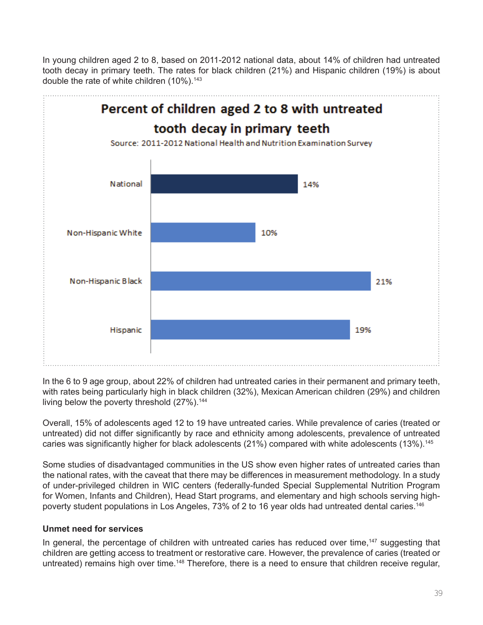In young children aged 2 to 8, based on 2011-2012 national data, about 14% of children had untreated tooth decay in primary teeth. The rates for black children (21%) and Hispanic children (19%) is about double the rate of white children (10%).<sup>143</sup>



In the 6 to 9 age group, about 22% of children had untreated caries in their permanent and primary teeth, with rates being particularly high in black children (32%), Mexican American children (29%) and children living below the poverty threshold (27%).<sup>144</sup>

Overall, 15% of adolescents aged 12 to 19 have untreated caries. While prevalence of caries (treated or untreated) did not differ significantly by race and ethnicity among adolescents, prevalence of untreated caries was significantly higher for black adolescents (21%) compared with white adolescents (13%).<sup>145</sup>

Some studies of disadvantaged communities in the US show even higher rates of untreated caries than the national rates, with the caveat that there may be differences in measurement methodology. In a study of under-privileged children in WIC centers (federally-funded Special Supplemental Nutrition Program for Women, Infants and Children), Head Start programs, and elementary and high schools serving highpoverty student populations in Los Angeles, 73% of 2 to 16 year olds had untreated dental caries.146

# **Unmet need for services**

In general, the percentage of children with untreated caries has reduced over time,<sup>147</sup> suggesting that children are getting access to treatment or restorative care. However, the prevalence of caries (treated or untreated) remains high over time.<sup>148</sup> Therefore, there is a need to ensure that children receive regular,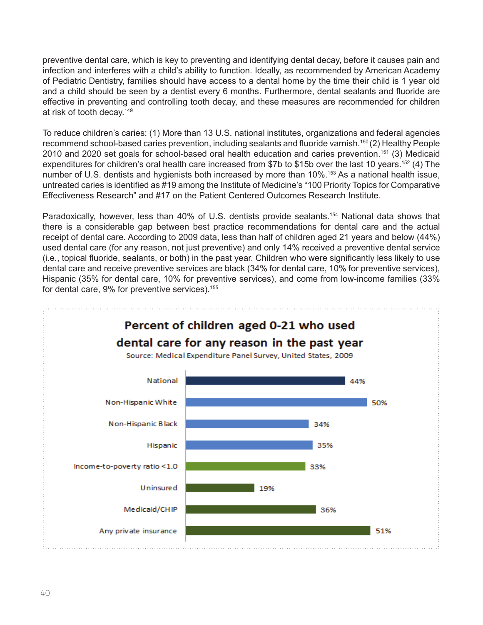preventive dental care, which is key to preventing and identifying dental decay, before it causes pain and infection and interferes with a child's ability to function. Ideally, as recommended by American Academy of Pediatric Dentistry, families should have access to a dental home by the time their child is 1 year old and a child should be seen by a dentist every 6 months. Furthermore, dental sealants and fluoride are effective in preventing and controlling tooth decay, and these measures are recommended for children at risk of tooth decay.<sup>149</sup>

To reduce children's caries: (1) More than 13 U.S. national institutes, organizations and federal agencies recommend school-based caries prevention, including sealants and fluoride varnish.<sup>150</sup> (2) Healthy People 2010 and 2020 set goals for school-based oral health education and caries prevention.151 (3) Medicaid expenditures for children's oral health care increased from \$7b to \$15b over the last 10 years.<sup>152</sup> (4) The number of U.S. dentists and hygienists both increased by more than 10%.<sup>153</sup> As a national health issue, untreated caries is identified as #19 among the Institute of Medicine's "100 Priority Topics for Comparative Effectiveness Research" and #17 on the Patient Centered Outcomes Research Institute.

Paradoxically, however, less than 40% of U.S. dentists provide sealants.<sup>154</sup> National data shows that there is a considerable gap between best practice recommendations for dental care and the actual receipt of dental care. According to 2009 data, less than half of children aged 21 years and below (44%) used dental care (for any reason, not just preventive) and only 14% received a preventive dental service (i.e., topical fluoride, sealants, or both) in the past year. Children who were significantly less likely to use dental care and receive preventive services are black (34% for dental care, 10% for preventive services), Hispanic (35% for dental care, 10% for preventive services), and come from low-income families (33% for dental care, 9% for preventive services).<sup>155</sup>

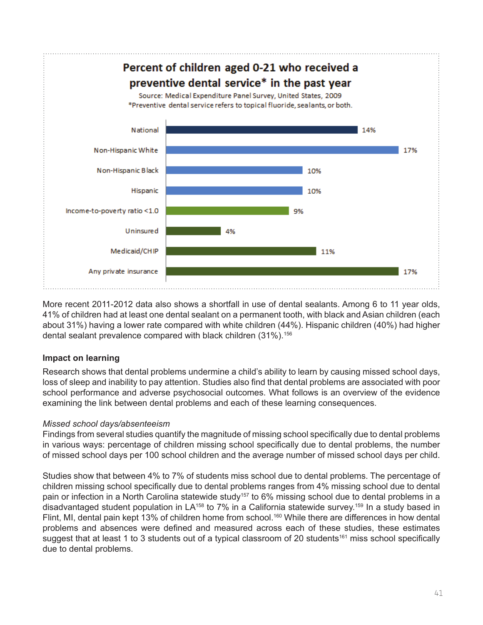

More recent 2011-2012 data also shows a shortfall in use of dental sealants. Among 6 to 11 year olds, 41% of children had at least one dental sealant on a permanent tooth, with black and Asian children (each about 31%) having a lower rate compared with white children (44%). Hispanic children (40%) had higher dental sealant prevalence compared with black children (31%).<sup>156</sup>

# **Impact on learning**

Research shows that dental problems undermine a child's ability to learn by causing missed school days, loss of sleep and inability to pay attention. Studies also find that dental problems are associated with poor school performance and adverse psychosocial outcomes. What follows is an overview of the evidence examining the link between dental problems and each of these learning consequences.

# *Missed school days/absenteeism*

Findings from several studies quantify the magnitude of missing school specifically due to dental problems in various ways: percentage of children missing school specifically due to dental problems, the number of missed school days per 100 school children and the average number of missed school days per child.

Studies show that between 4% to 7% of students miss school due to dental problems. The percentage of children missing school specifically due to dental problems ranges from 4% missing school due to dental pain or infection in a North Carolina statewide study<sup>157</sup> to 6% missing school due to dental problems in a disadvantaged student population in LA<sup>158</sup> to 7% in a California statewide survey.<sup>159</sup> In a study based in Flint, MI, dental pain kept 13% of children home from school.<sup>160</sup> While there are differences in how dental problems and absences were defined and measured across each of these studies, these estimates suggest that at least 1 to 3 students out of a typical classroom of 20 students<sup>161</sup> miss school specifically due to dental problems.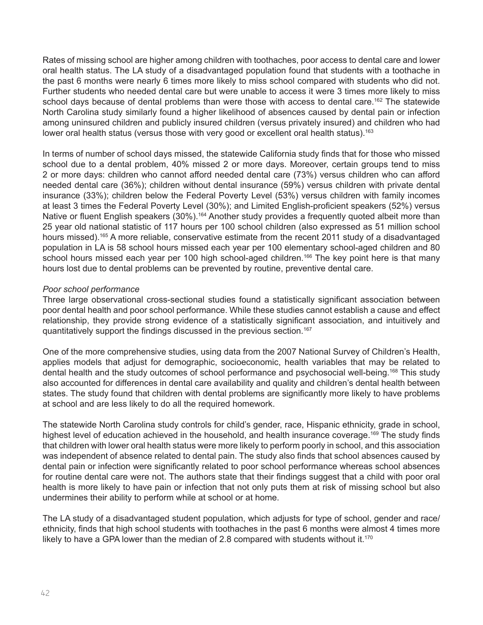Rates of missing school are higher among children with toothaches, poor access to dental care and lower oral health status. The LA study of a disadvantaged population found that students with a toothache in the past 6 months were nearly 6 times more likely to miss school compared with students who did not. Further students who needed dental care but were unable to access it were 3 times more likely to miss school days because of dental problems than were those with access to dental care.<sup>162</sup> The statewide North Carolina study similarly found a higher likelihood of absences caused by dental pain or infection among uninsured children and publicly insured children (versus privately insured) and children who had lower oral health status (versus those with very good or excellent oral health status).<sup>163</sup>

In terms of number of school days missed, the statewide California study finds that for those who missed school due to a dental problem, 40% missed 2 or more days. Moreover, certain groups tend to miss 2 or more days: children who cannot afford needed dental care (73%) versus children who can afford needed dental care (36%); children without dental insurance (59%) versus children with private dental insurance (33%); children below the Federal Poverty Level (53%) versus children with family incomes at least 3 times the Federal Poverty Level (30%); and Limited English-proficient speakers (52%) versus Native or fluent English speakers (30%).<sup>164</sup> Another study provides a frequently quoted albeit more than 25 year old national statistic of 117 hours per 100 school children (also expressed as 51 million school hours missed).<sup>165</sup> A more reliable, conservative estimate from the recent 2011 study of a disadvantaged population in LA is 58 school hours missed each year per 100 elementary school-aged children and 80 school hours missed each year per 100 high school-aged children.<sup>166</sup> The key point here is that many hours lost due to dental problems can be prevented by routine, preventive dental care.

## *Poor school performance*

Three large observational cross-sectional studies found a statistically significant association between poor dental health and poor school performance. While these studies cannot establish a cause and effect relationship, they provide strong evidence of a statistically significant association, and intuitively and quantitatively support the findings discussed in the previous section.167

One of the more comprehensive studies, using data from the 2007 National Survey of Children's Health, applies models that adjust for demographic, socioeconomic, health variables that may be related to dental health and the study outcomes of school performance and psychosocial well-being.<sup>168</sup> This study also accounted for differences in dental care availability and quality and children's dental health between states. The study found that children with dental problems are significantly more likely to have problems at school and are less likely to do all the required homework.

The statewide North Carolina study controls for child's gender, race, Hispanic ethnicity, grade in school, highest level of education achieved in the household, and health insurance coverage.<sup>169</sup> The study finds that children with lower oral health status were more likely to perform poorly in school, and this association was independent of absence related to dental pain. The study also finds that school absences caused by dental pain or infection were significantly related to poor school performance whereas school absences for routine dental care were not. The authors state that their findings suggest that a child with poor oral health is more likely to have pain or infection that not only puts them at risk of missing school but also undermines their ability to perform while at school or at home.

The LA study of a disadvantaged student population, which adjusts for type of school, gender and race/ ethnicity, finds that high school students with toothaches in the past 6 months were almost 4 times more likely to have a GPA lower than the median of 2.8 compared with students without it.<sup>170</sup>